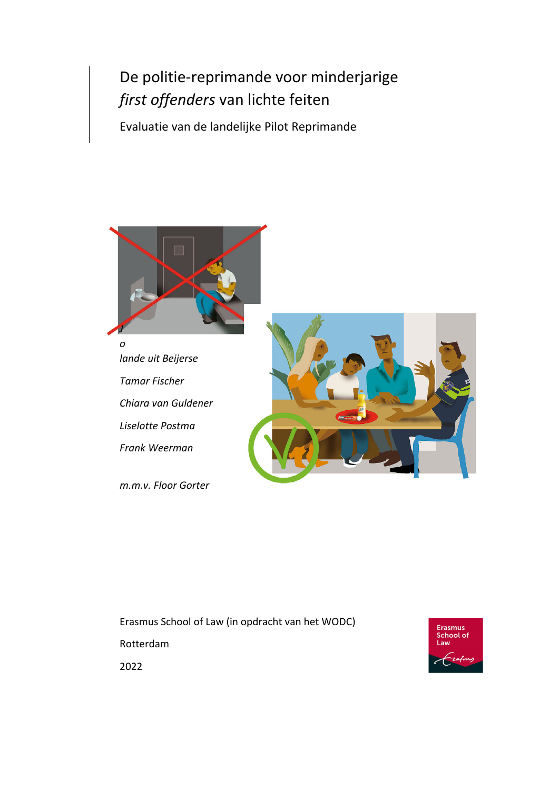# De politie‐reprimande voor minderjarige *first offenders* van lichte feiten

Evaluatie van de landelijke Pilot Reprimande



*o lande uit Beijerse Tamar Fischer Chiara van Guldener Liselotte Postma Frank Weerman*

*m.m.v. Floor Gorter*



Erasmus School of Law (in opdracht van het WODC) Rotterdam



2022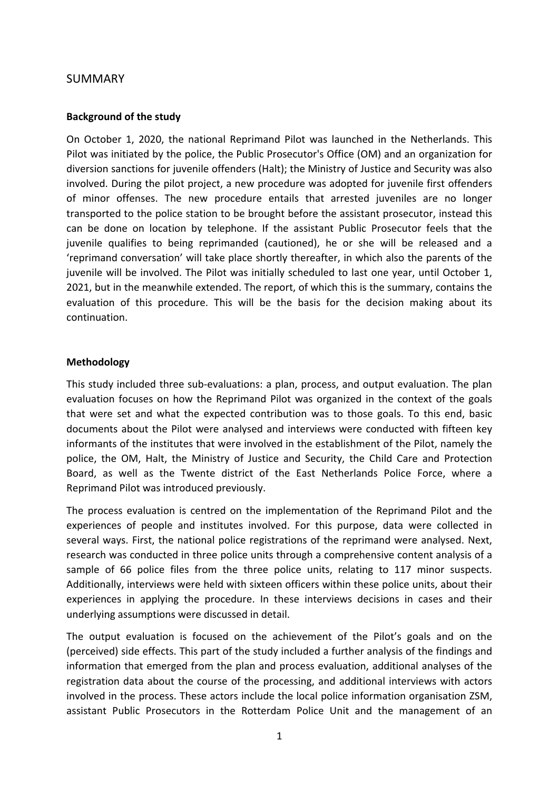## SUMMARY

### **Background of the study**

On October 1, 2020, the national Reprimand Pilot was launched in the Netherlands. This Pilot was initiated by the police, the Public Prosecutor's Office (OM) and an organization for diversion sanctions for juvenile offenders (Halt); the Ministry of Justice and Security was also involved. During the pilot project, a new procedure was adopted for juvenile first offenders of minor offenses. The new procedure entails that arrested juveniles are no longer transported to the police station to be brought before the assistant prosecutor, instead this can be done on location by telephone. If the assistant Public Prosecutor feels that the juvenile qualifies to being reprimanded (cautioned), he or she will be released and a 'reprimand conversation' will take place shortly thereafter, in which also the parents of the juvenile will be involved. The Pilot was initially scheduled to last one year, until October 1, 2021, but in the meanwhile extended. The report, of which this is the summary, contains the evaluation of this procedure. This will be the basis for the decision making about its continuation.

#### **Methodology**

This study included three sub‐evaluations: a plan, process, and output evaluation. The plan evaluation focuses on how the Reprimand Pilot was organized in the context of the goals that were set and what the expected contribution was to those goals. To this end, basic documents about the Pilot were analysed and interviews were conducted with fifteen key informants of the institutes that were involved in the establishment of the Pilot, namely the police, the OM, Halt, the Ministry of Justice and Security, the Child Care and Protection Board, as well as the Twente district of the East Netherlands Police Force, where a Reprimand Pilot was introduced previously.

The process evaluation is centred on the implementation of the Reprimand Pilot and the experiences of people and institutes involved. For this purpose, data were collected in several ways. First, the national police registrations of the reprimand were analysed. Next, research was conducted in three police units through a comprehensive content analysis of a sample of 66 police files from the three police units, relating to 117 minor suspects. Additionally, interviews were held with sixteen officers within these police units, about their experiences in applying the procedure. In these interviews decisions in cases and their underlying assumptions were discussed in detail.

The output evaluation is focused on the achievement of the Pilot's goals and on the (perceived) side effects. This part of the study included a further analysis of the findings and information that emerged from the plan and process evaluation, additional analyses of the registration data about the course of the processing, and additional interviews with actors involved in the process. These actors include the local police information organisation ZSM, assistant Public Prosecutors in the Rotterdam Police Unit and the management of an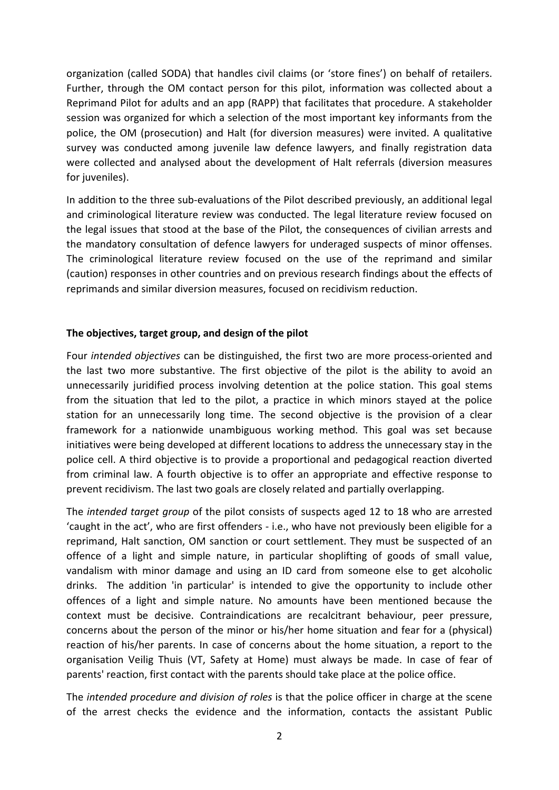organization (called SODA) that handles civil claims (or 'store fines') on behalf of retailers. Further, through the OM contact person for this pilot, information was collected about a Reprimand Pilot for adults and an app (RAPP) that facilitates that procedure. A stakeholder session was organized for which a selection of the most important key informants from the police, the OM (prosecution) and Halt (for diversion measures) were invited. A qualitative survey was conducted among juvenile law defence lawyers, and finally registration data were collected and analysed about the development of Halt referrals (diversion measures for juveniles).

In addition to the three sub-evaluations of the Pilot described previously, an additional legal and criminological literature review was conducted. The legal literature review focused on the legal issues that stood at the base of the Pilot, the consequences of civilian arrests and the mandatory consultation of defence lawyers for underaged suspects of minor offenses. The criminological literature review focused on the use of the reprimand and similar (caution) responses in other countries and on previous research findings about the effects of reprimands and similar diversion measures, focused on recidivism reduction.

## **The objectives, target group, and design of the pilot**

Four *intended objectives* can be distinguished, the first two are more process‐oriented and the last two more substantive. The first objective of the pilot is the ability to avoid an unnecessarily juridified process involving detention at the police station. This goal stems from the situation that led to the pilot, a practice in which minors stayed at the police station for an unnecessarily long time. The second objective is the provision of a clear framework for a nationwide unambiguous working method. This goal was set because initiatives were being developed at different locations to address the unnecessary stay in the police cell. A third objective is to provide a proportional and pedagogical reaction diverted from criminal law. A fourth objective is to offer an appropriate and effective response to prevent recidivism. The last two goals are closely related and partially overlapping.

The *intended target group* of the pilot consists of suspects aged 12 to 18 who are arrested 'caught in the act', who are first offenders ‐ i.e., who have not previously been eligible for a reprimand, Halt sanction, OM sanction or court settlement. They must be suspected of an offence of a light and simple nature, in particular shoplifting of goods of small value, vandalism with minor damage and using an ID card from someone else to get alcoholic drinks. The addition 'in particular' is intended to give the opportunity to include other offences of a light and simple nature. No amounts have been mentioned because the context must be decisive. Contraindications are recalcitrant behaviour, peer pressure, concerns about the person of the minor or his/her home situation and fear for a (physical) reaction of his/her parents. In case of concerns about the home situation, a report to the organisation Veilig Thuis (VT, Safety at Home) must always be made. In case of fear of parents' reaction, first contact with the parents should take place at the police office.

The *intended procedure and division of roles* is that the police officer in charge at the scene of the arrest checks the evidence and the information, contacts the assistant Public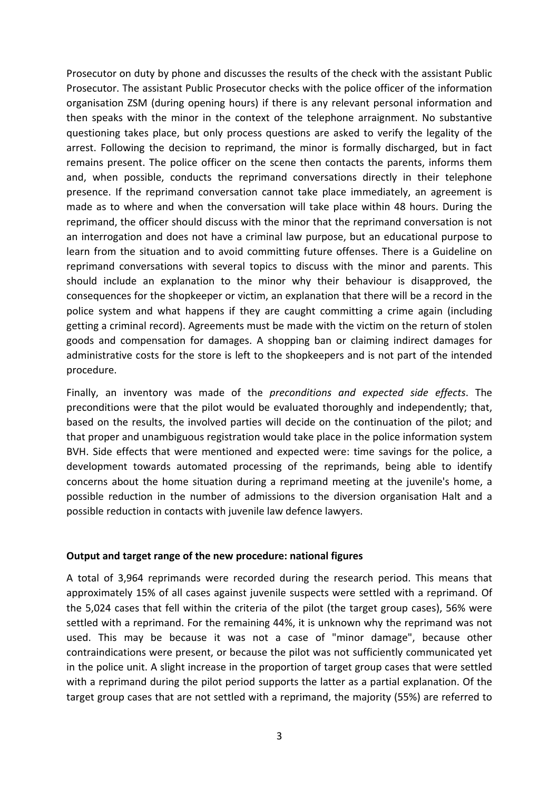Prosecutor on duty by phone and discusses the results of the check with the assistant Public Prosecutor. The assistant Public Prosecutor checks with the police officer of the information organisation ZSM (during opening hours) if there is any relevant personal information and then speaks with the minor in the context of the telephone arraignment. No substantive questioning takes place, but only process questions are asked to verify the legality of the arrest. Following the decision to reprimand, the minor is formally discharged, but in fact remains present. The police officer on the scene then contacts the parents, informs them and, when possible, conducts the reprimand conversations directly in their telephone presence. If the reprimand conversation cannot take place immediately, an agreement is made as to where and when the conversation will take place within 48 hours. During the reprimand, the officer should discuss with the minor that the reprimand conversation is not an interrogation and does not have a criminal law purpose, but an educational purpose to learn from the situation and to avoid committing future offenses. There is a Guideline on reprimand conversations with several topics to discuss with the minor and parents. This should include an explanation to the minor why their behaviour is disapproved, the consequences for the shopkeeper or victim, an explanation that there will be a record in the police system and what happens if they are caught committing a crime again (including getting a criminal record). Agreements must be made with the victim on the return of stolen goods and compensation for damages. A shopping ban or claiming indirect damages for administrative costs for the store is left to the shopkeepers and is not part of the intended procedure.

Finally, an inventory was made of the *preconditions and expected side effects*. The preconditions were that the pilot would be evaluated thoroughly and independently; that, based on the results, the involved parties will decide on the continuation of the pilot; and that proper and unambiguous registration would take place in the police information system BVH. Side effects that were mentioned and expected were: time savings for the police, a development towards automated processing of the reprimands, being able to identify concerns about the home situation during a reprimand meeting at the juvenile's home, a possible reduction in the number of admissions to the diversion organisation Halt and a possible reduction in contacts with juvenile law defence lawyers.

## **Output and target range of the new procedure: national figures**

A total of 3,964 reprimands were recorded during the research period. This means that approximately 15% of all cases against juvenile suspects were settled with a reprimand. Of the 5,024 cases that fell within the criteria of the pilot (the target group cases), 56% were settled with a reprimand. For the remaining 44%, it is unknown why the reprimand was not used. This may be because it was not a case of "minor damage", because other contraindications were present, or because the pilot was not sufficiently communicated yet in the police unit. A slight increase in the proportion of target group cases that were settled with a reprimand during the pilot period supports the latter as a partial explanation. Of the target group cases that are not settled with a reprimand, the majority (55%) are referred to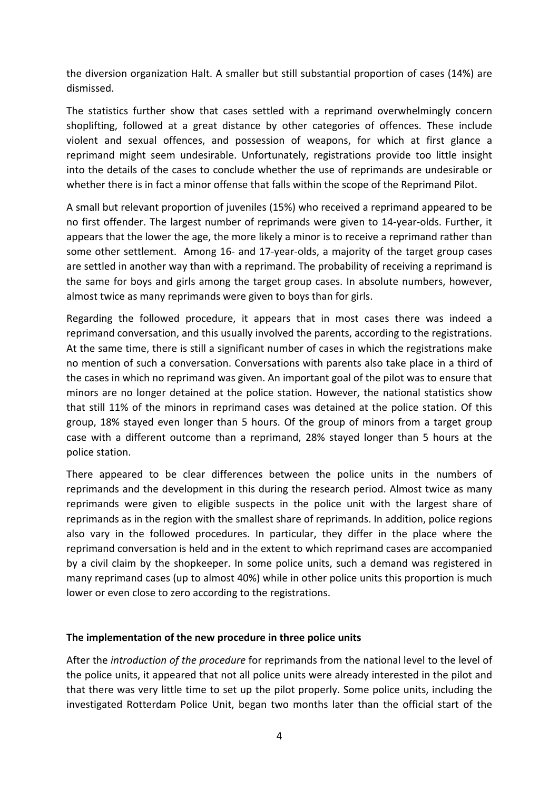the diversion organization Halt. A smaller but still substantial proportion of cases (14%) are dismissed.

The statistics further show that cases settled with a reprimand overwhelmingly concern shoplifting, followed at a great distance by other categories of offences. These include violent and sexual offences, and possession of weapons, for which at first glance a reprimand might seem undesirable. Unfortunately, registrations provide too little insight into the details of the cases to conclude whether the use of reprimands are undesirable or whether there is in fact a minor offense that falls within the scope of the Reprimand Pilot.

A small but relevant proportion of juveniles (15%) who received a reprimand appeared to be no first offender. The largest number of reprimands were given to 14‐year‐olds. Further, it appears that the lower the age, the more likely a minor is to receive a reprimand rather than some other settlement. Among 16- and 17-year-olds, a majority of the target group cases are settled in another way than with a reprimand. The probability of receiving a reprimand is the same for boys and girls among the target group cases. In absolute numbers, however, almost twice as many reprimands were given to boys than for girls.

Regarding the followed procedure, it appears that in most cases there was indeed a reprimand conversation, and this usually involved the parents, according to the registrations. At the same time, there is still a significant number of cases in which the registrations make no mention of such a conversation. Conversations with parents also take place in a third of the cases in which no reprimand was given. An important goal of the pilot was to ensure that minors are no longer detained at the police station. However, the national statistics show that still 11% of the minors in reprimand cases was detained at the police station. Of this group, 18% stayed even longer than 5 hours. Of the group of minors from a target group case with a different outcome than a reprimand, 28% stayed longer than 5 hours at the police station.

There appeared to be clear differences between the police units in the numbers of reprimands and the development in this during the research period. Almost twice as many reprimands were given to eligible suspects in the police unit with the largest share of reprimands as in the region with the smallest share of reprimands. In addition, police regions also vary in the followed procedures. In particular, they differ in the place where the reprimand conversation is held and in the extent to which reprimand cases are accompanied by a civil claim by the shopkeeper. In some police units, such a demand was registered in many reprimand cases (up to almost 40%) while in other police units this proportion is much lower or even close to zero according to the registrations.

## **The implementation of the new procedure in three police units**

After the *introduction of the procedure* for reprimands from the national level to the level of the police units, it appeared that not all police units were already interested in the pilot and that there was very little time to set up the pilot properly. Some police units, including the investigated Rotterdam Police Unit, began two months later than the official start of the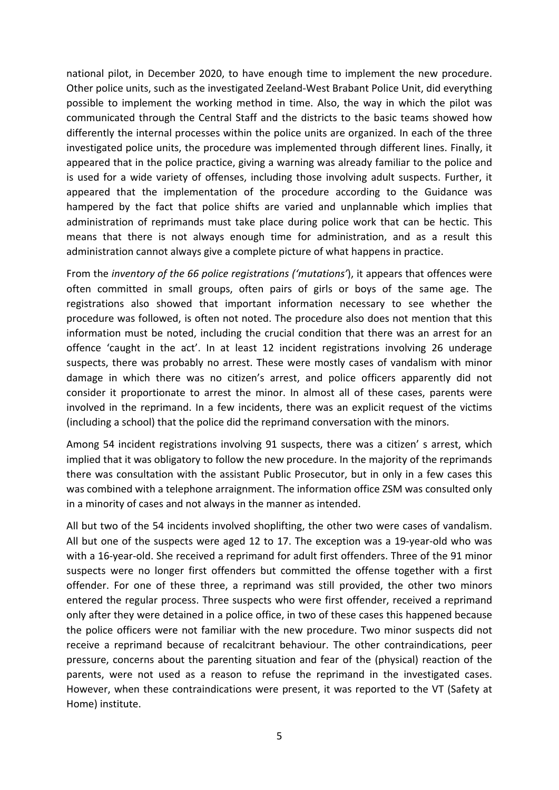national pilot, in December 2020, to have enough time to implement the new procedure. Other police units, such as the investigated Zeeland‐West Brabant Police Unit, did everything possible to implement the working method in time. Also, the way in which the pilot was communicated through the Central Staff and the districts to the basic teams showed how differently the internal processes within the police units are organized. In each of the three investigated police units, the procedure was implemented through different lines. Finally, it appeared that in the police practice, giving a warning was already familiar to the police and is used for a wide variety of offenses, including those involving adult suspects. Further, it appeared that the implementation of the procedure according to the Guidance was hampered by the fact that police shifts are varied and unplannable which implies that administration of reprimands must take place during police work that can be hectic. This means that there is not always enough time for administration, and as a result this administration cannot always give a complete picture of what happens in practice.

From the *inventory of the 66 police registrations ('mutations'*), it appears that offences were often committed in small groups, often pairs of girls or boys of the same age. The registrations also showed that important information necessary to see whether the procedure was followed, is often not noted. The procedure also does not mention that this information must be noted, including the crucial condition that there was an arrest for an offence 'caught in the act'. In at least 12 incident registrations involving 26 underage suspects, there was probably no arrest. These were mostly cases of vandalism with minor damage in which there was no citizen's arrest, and police officers apparently did not consider it proportionate to arrest the minor. In almost all of these cases, parents were involved in the reprimand. In a few incidents, there was an explicit request of the victims (including a school) that the police did the reprimand conversation with the minors.

Among 54 incident registrations involving 91 suspects, there was a citizen' s arrest, which implied that it was obligatory to follow the new procedure. In the majority of the reprimands there was consultation with the assistant Public Prosecutor, but in only in a few cases this was combined with a telephone arraignment. The information office ZSM was consulted only in a minority of cases and not always in the manner as intended.

All but two of the 54 incidents involved shoplifting, the other two were cases of vandalism. All but one of the suspects were aged 12 to 17. The exception was a 19‐year‐old who was with a 16-year-old. She received a reprimand for adult first offenders. Three of the 91 minor suspects were no longer first offenders but committed the offense together with a first offender. For one of these three, a reprimand was still provided, the other two minors entered the regular process. Three suspects who were first offender, received a reprimand only after they were detained in a police office, in two of these cases this happened because the police officers were not familiar with the new procedure. Two minor suspects did not receive a reprimand because of recalcitrant behaviour. The other contraindications, peer pressure, concerns about the parenting situation and fear of the (physical) reaction of the parents, were not used as a reason to refuse the reprimand in the investigated cases. However, when these contraindications were present, it was reported to the VT (Safety at Home) institute.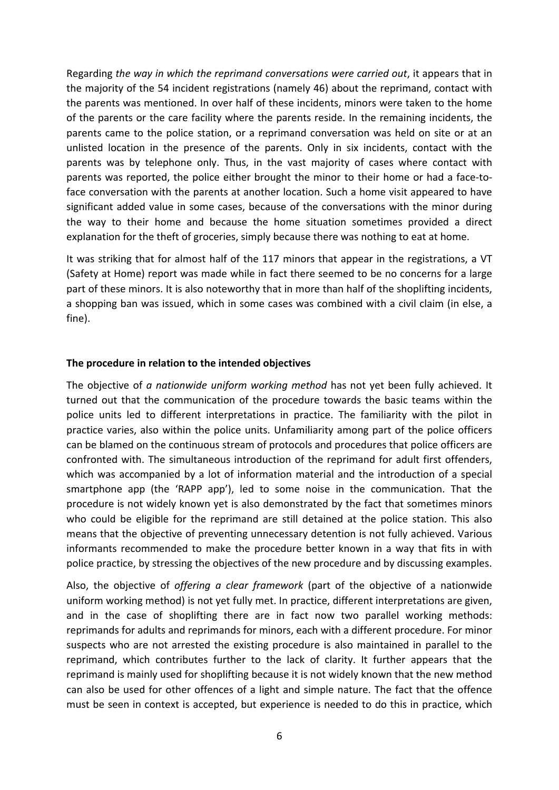Regarding *the way in which the reprimand conversations were carried out*, it appears that in the majority of the 54 incident registrations (namely 46) about the reprimand, contact with the parents was mentioned. In over half of these incidents, minors were taken to the home of the parents or the care facility where the parents reside. In the remaining incidents, the parents came to the police station, or a reprimand conversation was held on site or at an unlisted location in the presence of the parents. Only in six incidents, contact with the parents was by telephone only. Thus, in the vast majority of cases where contact with parents was reported, the police either brought the minor to their home or had a face-toface conversation with the parents at another location. Such a home visit appeared to have significant added value in some cases, because of the conversations with the minor during the way to their home and because the home situation sometimes provided a direct explanation for the theft of groceries, simply because there was nothing to eat at home.

It was striking that for almost half of the 117 minors that appear in the registrations, a VT (Safety at Home) report was made while in fact there seemed to be no concerns for a large part of these minors. It is also noteworthy that in more than half of the shoplifting incidents, a shopping ban was issued, which in some cases was combined with a civil claim (in else, a fine).

## **The procedure in relation to the intended objectives**

The objective of *a nationwide uniform working method* has not yet been fully achieved. It turned out that the communication of the procedure towards the basic teams within the police units led to different interpretations in practice. The familiarity with the pilot in practice varies, also within the police units. Unfamiliarity among part of the police officers can be blamed on the continuous stream of protocols and procedures that police officers are confronted with. The simultaneous introduction of the reprimand for adult first offenders, which was accompanied by a lot of information material and the introduction of a special smartphone app (the 'RAPP app'), led to some noise in the communication. That the procedure is not widely known yet is also demonstrated by the fact that sometimes minors who could be eligible for the reprimand are still detained at the police station. This also means that the objective of preventing unnecessary detention is not fully achieved. Various informants recommended to make the procedure better known in a way that fits in with police practice, by stressing the objectives of the new procedure and by discussing examples.

Also, the objective of *offering a clear framework* (part of the objective of a nationwide uniform working method) is not yet fully met. In practice, different interpretations are given, and in the case of shoplifting there are in fact now two parallel working methods: reprimands for adults and reprimands for minors, each with a different procedure. For minor suspects who are not arrested the existing procedure is also maintained in parallel to the reprimand, which contributes further to the lack of clarity. It further appears that the reprimand is mainly used for shoplifting because it is not widely known that the new method can also be used for other offences of a light and simple nature. The fact that the offence must be seen in context is accepted, but experience is needed to do this in practice, which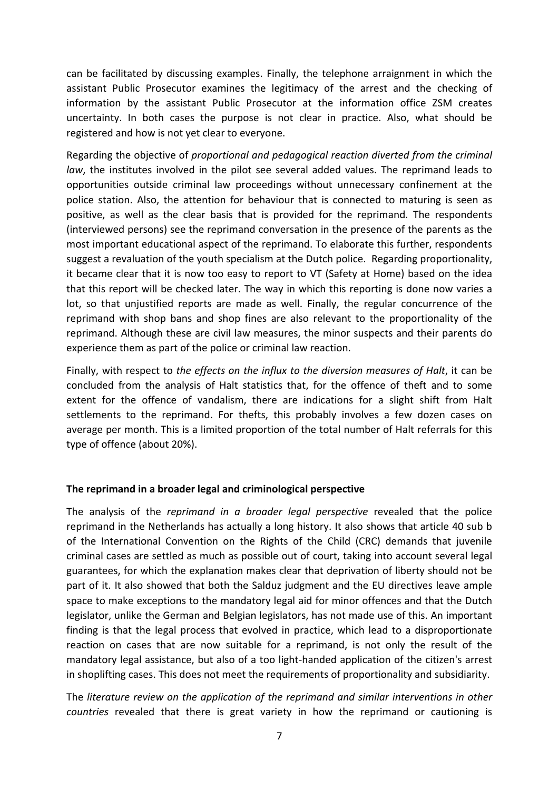can be facilitated by discussing examples. Finally, the telephone arraignment in which the assistant Public Prosecutor examines the legitimacy of the arrest and the checking of information by the assistant Public Prosecutor at the information office ZSM creates uncertainty. In both cases the purpose is not clear in practice. Also, what should be registered and how is not yet clear to everyone.

Regarding the objective of *proportional and pedagogical reaction diverted from the criminal law*, the institutes involved in the pilot see several added values. The reprimand leads to opportunities outside criminal law proceedings without unnecessary confinement at the police station. Also, the attention for behaviour that is connected to maturing is seen as positive, as well as the clear basis that is provided for the reprimand. The respondents (interviewed persons) see the reprimand conversation in the presence of the parents as the most important educational aspect of the reprimand. To elaborate this further, respondents suggest a revaluation of the youth specialism at the Dutch police. Regarding proportionality, it became clear that it is now too easy to report to VT (Safety at Home) based on the idea that this report will be checked later. The way in which this reporting is done now varies a lot, so that unjustified reports are made as well. Finally, the regular concurrence of the reprimand with shop bans and shop fines are also relevant to the proportionality of the reprimand. Although these are civil law measures, the minor suspects and their parents do experience them as part of the police or criminal law reaction.

Finally, with respect to *the effects on the influx to the diversion measures of Halt*, it can be concluded from the analysis of Halt statistics that, for the offence of theft and to some extent for the offence of vandalism, there are indications for a slight shift from Halt settlements to the reprimand. For thefts, this probably involves a few dozen cases on average per month. This is a limited proportion of the total number of Halt referrals for this type of offence (about 20%).

## **The reprimand in a broader legal and criminological perspective**

The analysis of the *reprimand in a broader legal perspective* revealed that the police reprimand in the Netherlands has actually a long history. It also shows that article 40 sub b of the International Convention on the Rights of the Child (CRC) demands that juvenile criminal cases are settled as much as possible out of court, taking into account several legal guarantees, for which the explanation makes clear that deprivation of liberty should not be part of it. It also showed that both the Salduz judgment and the EU directives leave ample space to make exceptions to the mandatory legal aid for minor offences and that the Dutch legislator, unlike the German and Belgian legislators, has not made use of this. An important finding is that the legal process that evolved in practice, which lead to a disproportionate reaction on cases that are now suitable for a reprimand, is not only the result of the mandatory legal assistance, but also of a too light‐handed application of the citizen's arrest in shoplifting cases. This does not meet the requirements of proportionality and subsidiarity.

The *literature review on the application of the reprimand and similar interventions in other countries* revealed that there is great variety in how the reprimand or cautioning is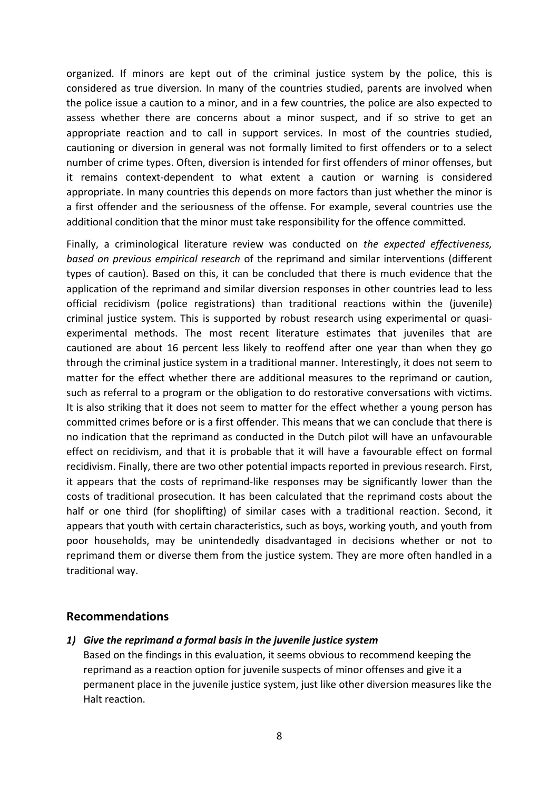organized. If minors are kept out of the criminal justice system by the police, this is considered as true diversion. In many of the countries studied, parents are involved when the police issue a caution to a minor, and in a few countries, the police are also expected to assess whether there are concerns about a minor suspect, and if so strive to get an appropriate reaction and to call in support services. In most of the countries studied, cautioning or diversion in general was not formally limited to first offenders or to a select number of crime types. Often, diversion is intended for first offenders of minor offenses, but it remains context‐dependent to what extent a caution or warning is considered appropriate. In many countries this depends on more factors than just whether the minor is a first offender and the seriousness of the offense. For example, several countries use the additional condition that the minor must take responsibility for the offence committed.

Finally, a criminological literature review was conducted on *the expected effectiveness, based on previous empirical research* of the reprimand and similar interventions (different types of caution). Based on this, it can be concluded that there is much evidence that the application of the reprimand and similar diversion responses in other countries lead to less official recidivism (police registrations) than traditional reactions within the (juvenile) criminal justice system. This is supported by robust research using experimental or quasi‐ experimental methods. The most recent literature estimates that juveniles that are cautioned are about 16 percent less likely to reoffend after one year than when they go through the criminal justice system in a traditional manner. Interestingly, it does not seem to matter for the effect whether there are additional measures to the reprimand or caution, such as referral to a program or the obligation to do restorative conversations with victims. It is also striking that it does not seem to matter for the effect whether a young person has committed crimes before or is a first offender. This means that we can conclude that there is no indication that the reprimand as conducted in the Dutch pilot will have an unfavourable effect on recidivism, and that it is probable that it will have a favourable effect on formal recidivism. Finally, there are two other potential impacts reported in previous research. First, it appears that the costs of reprimand‐like responses may be significantly lower than the costs of traditional prosecution. It has been calculated that the reprimand costs about the half or one third (for shoplifting) of similar cases with a traditional reaction. Second, it appears that youth with certain characteristics, such as boys, working youth, and youth from poor households, may be unintendedly disadvantaged in decisions whether or not to reprimand them or diverse them from the justice system. They are more often handled in a traditional way.

## **Recommendations**

*1) Give the reprimand a formal basis in the juvenile justice system*

Based on the findings in this evaluation, it seems obvious to recommend keeping the reprimand as a reaction option for juvenile suspects of minor offenses and give it a permanent place in the juvenile justice system, just like other diversion measures like the Halt reaction.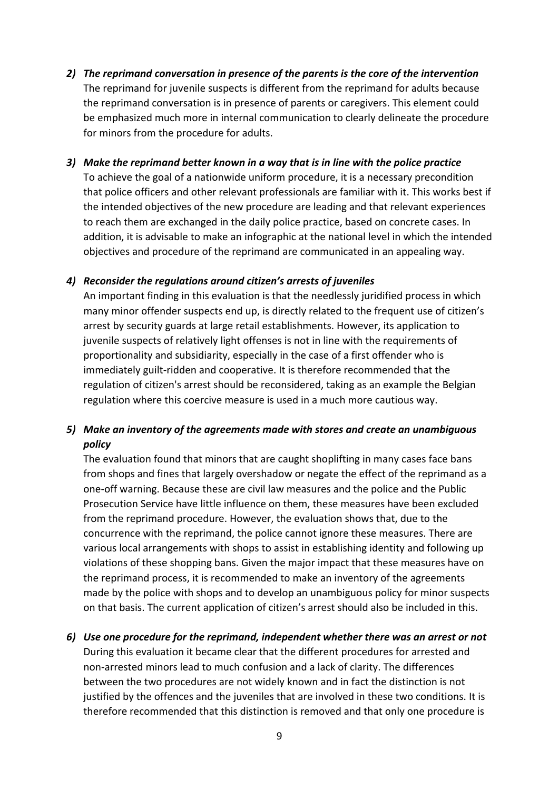- *2) The reprimand conversation in presence of the parents is the core of the intervention* The reprimand for juvenile suspects is different from the reprimand for adults because the reprimand conversation is in presence of parents or caregivers. This element could be emphasized much more in internal communication to clearly delineate the procedure for minors from the procedure for adults.
- *3) Make the reprimand better known in a way that is in line with the police practice* To achieve the goal of a nationwide uniform procedure, it is a necessary precondition that police officers and other relevant professionals are familiar with it. This works best if the intended objectives of the new procedure are leading and that relevant experiences to reach them are exchanged in the daily police practice, based on concrete cases. In addition, it is advisable to make an infographic at the national level in which the intended objectives and procedure of the reprimand are communicated in an appealing way.

## *4) Reconsider the regulations around citizen's arrests of juveniles*

An important finding in this evaluation is that the needlessly juridified process in which many minor offender suspects end up, is directly related to the frequent use of citizen's arrest by security guards at large retail establishments. However, its application to juvenile suspects of relatively light offenses is not in line with the requirements of proportionality and subsidiarity, especially in the case of a first offender who is immediately guilt‐ridden and cooperative. It is therefore recommended that the regulation of citizen's arrest should be reconsidered, taking as an example the Belgian regulation where this coercive measure is used in a much more cautious way.

# *5) Make an inventory of the agreements made with stores and create an unambiguous policy*

The evaluation found that minors that are caught shoplifting in many cases face bans from shops and fines that largely overshadow or negate the effect of the reprimand as a one‐off warning. Because these are civil law measures and the police and the Public Prosecution Service have little influence on them, these measures have been excluded from the reprimand procedure. However, the evaluation shows that, due to the concurrence with the reprimand, the police cannot ignore these measures. There are various local arrangements with shops to assist in establishing identity and following up violations of these shopping bans. Given the major impact that these measures have on the reprimand process, it is recommended to make an inventory of the agreements made by the police with shops and to develop an unambiguous policy for minor suspects on that basis. The current application of citizen's arrest should also be included in this.

*6) Use one procedure for the reprimand, independent whether there was an arrest or not* During this evaluation it became clear that the different procedures for arrested and non‐arrested minors lead to much confusion and a lack of clarity. The differences between the two procedures are not widely known and in fact the distinction is not justified by the offences and the juveniles that are involved in these two conditions. It is therefore recommended that this distinction is removed and that only one procedure is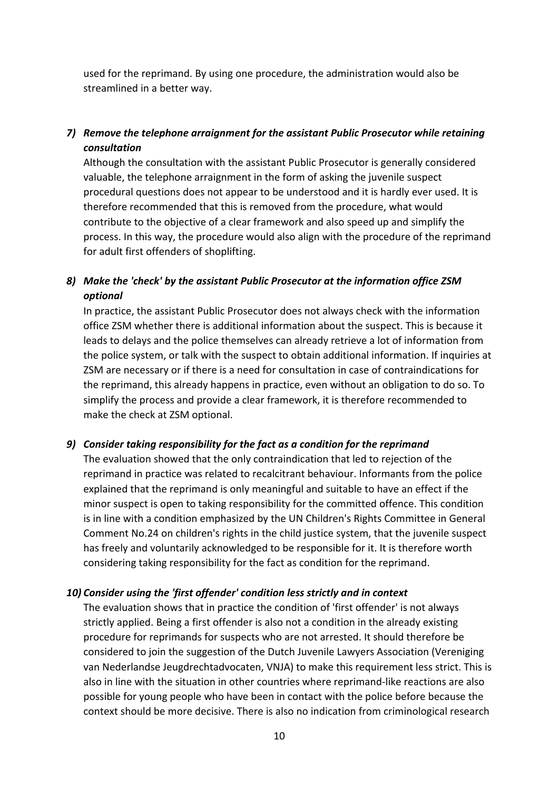used for the reprimand. By using one procedure, the administration would also be streamlined in a better way.

# *7) Remove the telephone arraignment for the assistant Public Prosecutor while retaining consultation*

Although the consultation with the assistant Public Prosecutor is generally considered valuable, the telephone arraignment in the form of asking the juvenile suspect procedural questions does not appear to be understood and it is hardly ever used. It is therefore recommended that this is removed from the procedure, what would contribute to the objective of a clear framework and also speed up and simplify the process. In this way, the procedure would also align with the procedure of the reprimand for adult first offenders of shoplifting.

# *8) Make the 'check' by the assistant Public Prosecutor at the information office ZSM optional*

In practice, the assistant Public Prosecutor does not always check with the information office ZSM whether there is additional information about the suspect. This is because it leads to delays and the police themselves can already retrieve a lot of information from the police system, or talk with the suspect to obtain additional information. If inquiries at ZSM are necessary or if there is a need for consultation in case of contraindications for the reprimand, this already happens in practice, even without an obligation to do so. To simplify the process and provide a clear framework, it is therefore recommended to make the check at ZSM optional.

## *9) Consider taking responsibility for the fact as a condition for the reprimand*

The evaluation showed that the only contraindication that led to rejection of the reprimand in practice was related to recalcitrant behaviour. Informants from the police explained that the reprimand is only meaningful and suitable to have an effect if the minor suspect is open to taking responsibility for the committed offence. This condition is in line with a condition emphasized by the UN Children's Rights Committee in General Comment No.24 on children's rights in the child justice system, that the juvenile suspect has freely and voluntarily acknowledged to be responsible for it. It is therefore worth considering taking responsibility for the fact as condition for the reprimand.

## *10) Consider using the 'first offender' condition less strictly and in context*

The evaluation shows that in practice the condition of 'first offender' is not always strictly applied. Being a first offender is also not a condition in the already existing procedure for reprimands for suspects who are not arrested. It should therefore be considered to join the suggestion of the Dutch Juvenile Lawyers Association (Vereniging van Nederlandse Jeugdrechtadvocaten, VNJA) to make this requirement less strict. This is also in line with the situation in other countries where reprimand‐like reactions are also possible for young people who have been in contact with the police before because the context should be more decisive. There is also no indication from criminological research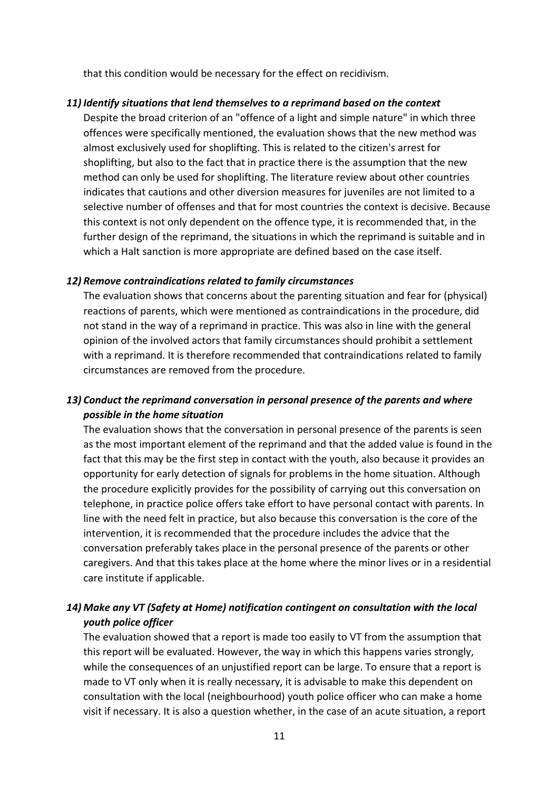that this condition would be necessary for the effect on recidivism.

### *11) Identify situations that lend themselves to a reprimand based on the context*

Despite the broad criterion of an "offence of a light and simple nature" in which three offences were specifically mentioned, the evaluation shows that the new method was almost exclusively used for shoplifting. This is related to the citizen's arrest for shoplifting, but also to the fact that in practice there is the assumption that the new method can only be used for shoplifting. The literature review about other countries indicates that cautions and other diversion measures for juveniles are not limited to a selective number of offenses and that for most countries the context is decisive. Because this context is not only dependent on the offence type, it is recommended that, in the further design of the reprimand, the situations in which the reprimand is suitable and in which a Halt sanction is more appropriate are defined based on the case itself.

#### *12) Remove contraindications related to family circumstances*

The evaluation shows that concerns about the parenting situation and fear for (physical) reactions of parents, which were mentioned as contraindications in the procedure, did not stand in the way of a reprimand in practice. This was also in line with the general opinion of the involved actors that family circumstances should prohibit a settlement with a reprimand. It is therefore recommended that contraindications related to family circumstances are removed from the procedure.

# *13) Conduct the reprimand conversation in personal presence of the parents and where possible in the home situation*

The evaluation shows that the conversation in personal presence of the parents is seen as the most important element of the reprimand and that the added value is found in the fact that this may be the first step in contact with the youth, also because it provides an opportunity for early detection of signals for problems in the home situation. Although the procedure explicitly provides for the possibility of carrying out this conversation on telephone, in practice police offers take effort to have personal contact with parents. In line with the need felt in practice, but also because this conversation is the core of the intervention, it is recommended that the procedure includes the advice that the conversation preferably takes place in the personal presence of the parents or other caregivers. And that this takes place at the home where the minor lives or in a residential care institute if applicable.

# *14) Make any VT (Safety at Home) notification contingent on consultation with the local youth police officer*

The evaluation showed that a report is made too easily to VT from the assumption that this report will be evaluated. However, the way in which this happens varies strongly, while the consequences of an unjustified report can be large. To ensure that a report is made to VT only when it is really necessary, it is advisable to make this dependent on consultation with the local (neighbourhood) youth police officer who can make a home visit if necessary. It is also a question whether, in the case of an acute situation, a report